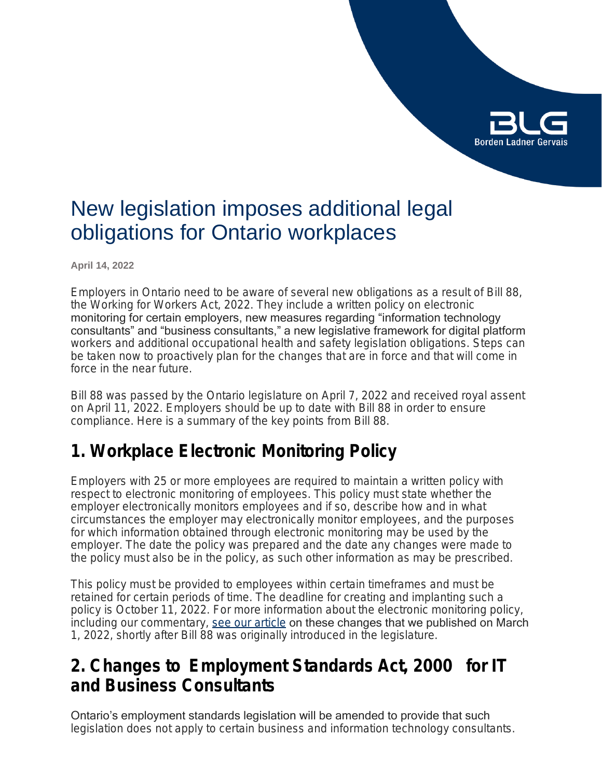# **Borden Ladner Gervais**

## New legislation imposes additional legal obligations for Ontario workplaces

**April 14, 2022**

Employers in Ontario need to be aware of several new obligations as a result of Bill 88, the *Working for Workers Act, 2022*. They include a written policy on electronic monitoring for certain employers, new measures regarding "information technology consultants" and "business consultants," a new legislative framework for digital platform workers and additional occupational health and safety legislation obligations. Steps can be taken now to proactively plan for the changes that are in force and that will come in force in the near future.

Bill 88 was passed by the Ontario legislature on April 7, 2022 and received royal assent on April 11, 2022. Employers should be up to date with Bill 88 in order to ensure compliance. Here is a summary of the key points from Bill 88.

### **1. Workplace Electronic Monitoring Policy**

Employers with 25 or more employees are required to maintain a written policy with respect to electronic monitoring of employees. This policy must state whether the employer electronically monitors employees and if so, describe how and in what circumstances the employer may electronically monitor employees, and the purposes for which information obtained through electronic monitoring may be used by the employer. The date the policy was prepared and the date any changes were made to the policy must also be in the policy, as such other information as may be prescribed.

This policy must be provided to employees within certain timeframes and must be retained for certain periods of time. The deadline for creating and implanting such a policy is October 11, 2022. For more information about the electronic monitoring policy, including our commentary, [see our article](https://www.blg.com/en/insights/2022/03/ontario-introduces-electronic-monitoring-legislation) on these changes that we published on March 1, 2022, shortly after Bill 88 was originally introduced in the legislature.

### **2. Changes to** *Employment Standards Act, 2000* **for IT and Business Consultants**

Ontario's employment standards legislation will be amended to provide that such legislation does not apply to certain business and information technology consultants.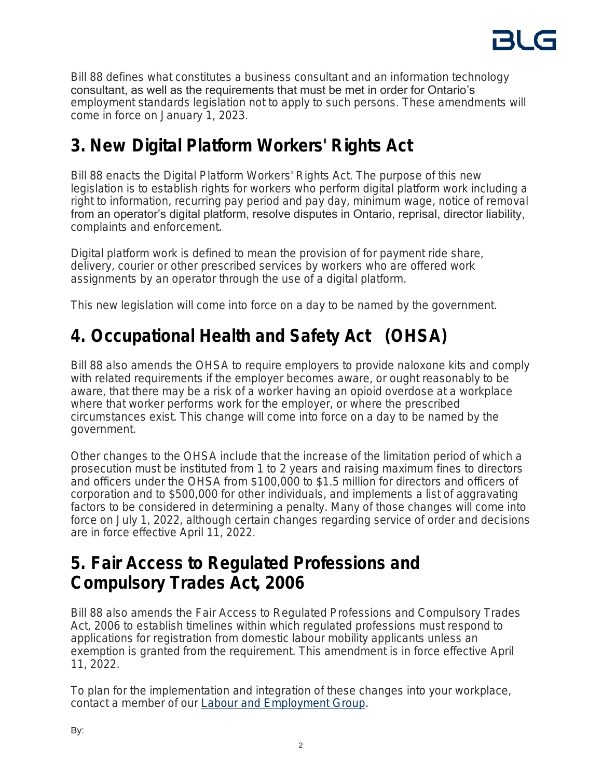

Bill 88 defines what constitutes a business consultant and an information technology consultant, as well as the requirements that must be met in order for Ontario's employment standards legislation not to apply to such persons. These amendments will come in force on January 1, 2023.

### **3. New** *Digital Platform Workers' Rights Act*

Bill 88 enacts the *Digital Platform Workers' Rights Act*. The purpose of this new legislation is to establish rights for workers who perform digital platform work including a right to information, recurring pay period and pay day, minimum wage, notice of removal from an operator's digital platform, resolve disputes in Ontario, reprisal, director liability, complaints and enforcement.

Digital platform work is defined to mean the provision of for payment ride share, delivery, courier or other prescribed services by workers who are offered work assignments by an operator through the use of a digital platform.

This new legislation will come into force on a day to be named by the government.

### **4.** *Occupational Health and Safety Act* **(OHSA)**

Bill 88 also amends the OHSA to require employers to provide naloxone kits and comply with related requirements if the employer becomes aware, or ought reasonably to be aware, that there may be a risk of a worker having an opioid overdose at a workplace where that worker performs work for the employer, or where the prescribed circumstances exist. This change will come into force on a day to be named by the government.

Other changes to the OHSA include that the increase of the limitation period of which a prosecution must be instituted from 1 to 2 years and raising maximum fines to directors and officers under the OHSA from \$100,000 to \$1.5 million for directors and officers of corporation and to \$500,000 for other individuals, and implements a list of aggravating factors to be considered in determining a penalty. Many of those changes will come into force on July 1, 2022, although certain changes regarding service of order and decisions are in force effective April 11, 2022.

### **5.** *Fair Access to Regulated Professions and Compulsory Trades Act, 2006*

Bill 88 also amends the *Fair Access to Regulated Professions and Compulsory Trades Act, 2006* to establish timelines within which regulated professions must respond to applications for registration from domestic labour mobility applicants unless an exemption is granted from the requirement. This amendment is in force effective April 11, 2022.

To plan for the implementation and integration of these changes into your workplace, contact a member of our **Labour and Employment Group**.